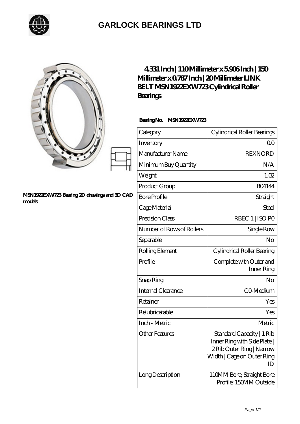

## **[GARLOCK BEARINGS LTD](https://m.letterstopriests.com)**

|                                                        | 4331 Inch   110Millimeter x 5906Inch   150<br>Millimeter x 0787 Inch   20 Millimeter LINK<br>BELT MSN 1922EXW723Cylindrical Roller<br>Bearings |                                                                                                                           |
|--------------------------------------------------------|------------------------------------------------------------------------------------------------------------------------------------------------|---------------------------------------------------------------------------------------------------------------------------|
|                                                        | BearingNo.<br><b>MSN1922EXW723</b>                                                                                                             |                                                                                                                           |
|                                                        | Category                                                                                                                                       | Cylindrical Roller Bearings                                                                                               |
|                                                        | Inventory                                                                                                                                      | 0 <sup>0</sup>                                                                                                            |
|                                                        | Manufacturer Name                                                                                                                              | <b>REXNORD</b>                                                                                                            |
|                                                        | Minimum Buy Quantity                                                                                                                           | N/A                                                                                                                       |
|                                                        | Weight                                                                                                                                         | 1.02                                                                                                                      |
|                                                        | Product Group                                                                                                                                  | <b>BO4144</b>                                                                                                             |
| MSN1922EXW723 Bearing 2D drawings and 3D CAD<br>models | <b>Bore Profile</b>                                                                                                                            | Straight                                                                                                                  |
|                                                        | Cage Material                                                                                                                                  | Steel                                                                                                                     |
|                                                        | Precision Class                                                                                                                                | RBEC 1   ISO PO                                                                                                           |
|                                                        | Number of Rows of Rollers                                                                                                                      | Single Row                                                                                                                |
|                                                        | Separable                                                                                                                                      | N <sub>O</sub>                                                                                                            |
|                                                        | Rolling Element                                                                                                                                | Cylindrical Roller Bearing                                                                                                |
|                                                        | Profile                                                                                                                                        | Complete with Outer and<br>Inner Ring                                                                                     |
|                                                        | Snap Ring                                                                                                                                      | No                                                                                                                        |
|                                                        | Internal Clearance                                                                                                                             | CO-Medium                                                                                                                 |
|                                                        | Retainer                                                                                                                                       | Yes                                                                                                                       |
|                                                        | Relubricatable                                                                                                                                 | Yes                                                                                                                       |
|                                                        | Inch - Metric                                                                                                                                  | Metric                                                                                                                    |
|                                                        | <b>Other Features</b>                                                                                                                          | Standard Capacity   1 Rib<br>Inner Ring with Side Plate  <br>2Rib Outer Ring   Narrow<br>Width   Cage on Outer Ring<br>ID |
|                                                        | Long Description                                                                                                                               | 110MM Bore; Straight Bore<br>Profile; 150MM Outside                                                                       |